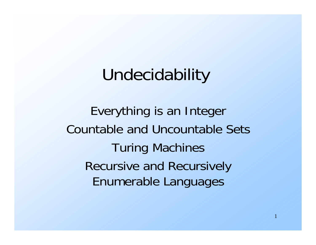## Undecidability

Everything is an Integer Countable and Uncountable SetsTuring Machines Recursive and Recursively Enumerable Languages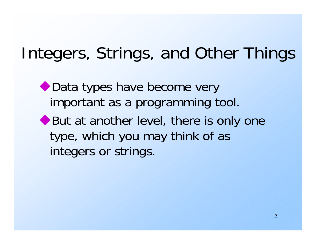## Integers, Strings, and Other Things

◆ Data types have become very important as a programming tool.

◆ But at another level, there is only one type, which you may think of as integers or strings.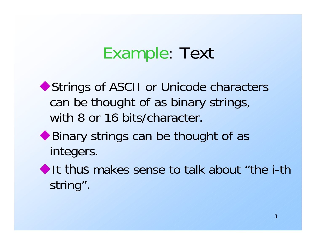## Example: Text

◆ Strings of ASCII or Unicode characters can be thought of as binary strings, with 8 or 16 bits/character.

- ◆ Binary strings can be thought of as integers.
- It thus makes sense to talk about "the i-th" string".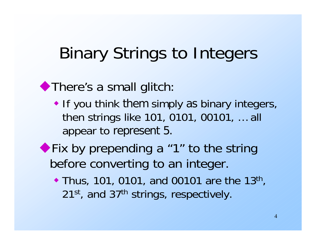## Binary Strings to Integers

◆ There's a small glitch:

- If you think them simply as binary integers, then strings like 101, 0101, 00101, … all appear to represent 5.
- Fix by prepending a "1" to the string before converting to an integer.
	- Thus, 101, 0101, and 00101 are the 13<sup>th</sup>, 21<sup>st</sup>, and 37<sup>th</sup> strings, respectively.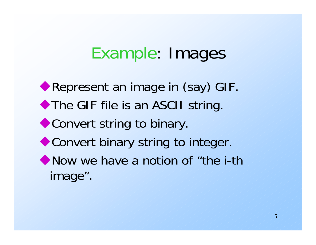## Example: Images

**Represent an image in (say) GIF.** ◆ The GIF file is an ASCII string. ◆ Convert string to binary. ◆ Convert binary string to integer. • Now we have a notion of "the i-th" image".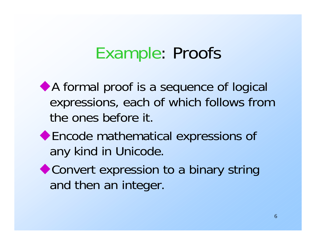#### Example: Proofs

A formal proof is a sequence of logical expressions, each of which follows from the ones before it.

- Encode mathematical expressions of any kind in Unicode.
- ◆ Convert expression to a binary string and then an integer.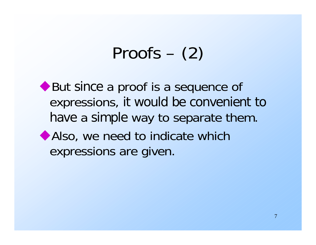## Proofs – (2)

◆ But since a proof is a sequence of expressions, it would be convenient to have a simple way to separate them. Also, we need to indicate which expressions are given.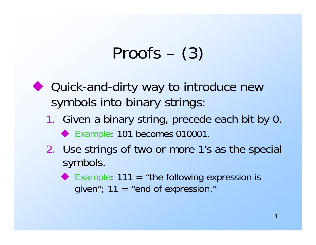## Proofs – (3)

- ◆ Quick-and-dirty way to introduce new symbols into binary strings:
	- 1. Given a binary string, precede each bit by 0. ◆ Example: 101 becomes 010001.
	- 2. Use strings of two or more 1's as the special symbols.
		- Example:  $111 =$  "the following expression is given";  $11 =$  "end of expression."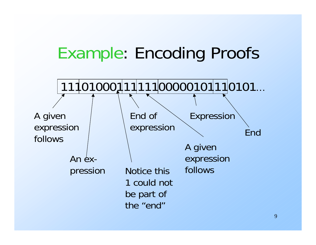## Example: Encoding Proofs

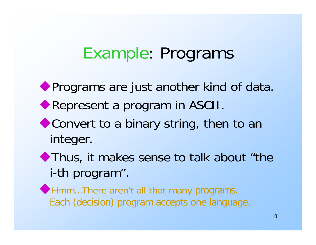#### Example: Programs

**Programs are just another kind of data.** 

- Represent a program in ASCII.
- ◆ Convert to a binary string, then to an integer.
- Thus, it makes sense to talk about "the i-th program".
- Hmm…There aren't all that many programs. Each (decision) program accepts one language.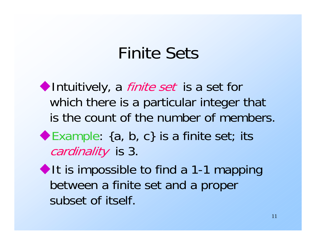## Finite Sets

Intuitively, a *finite set* is a set for which there is a particular integer that is the count of the number of members. ◆ Example: {a, b, c} is a finite set; its cardinality is 3.  $\blacklozenge$  It is impossible to find a 1-1 mapping between a finite set and a proper

subset of itself.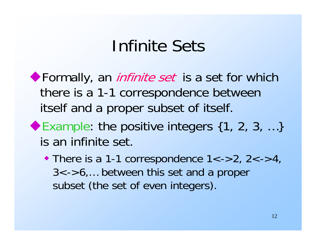#### Infinite Sets

Formally, an *infinite set* is a set for which there is a 1-1 correspondence between itself and a proper subset of itself.

- ◆ Example: the positive integers  $\{1, 2, 3, ...\}$ is an infinite set.
	- $\bullet$  There is a 1-1 correspondence 1<->2, 2<->4, 3<->6,… between this set and a proper subset (the set of even integers).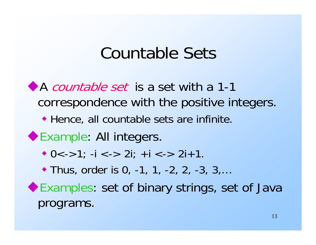#### Countable Sets

A countable set is a set with a 1-1 correspondence with the positive integers. Hence, all countable sets are infinite. ◆ Example: All integers.  $\bullet$  0<->1; -i <-> 2i; +i <-> 2i+1. ◆ Thus, order is 0, -1, 1, -2, 2, -3, 3,... Examples: set of binary strings, set of Java programs.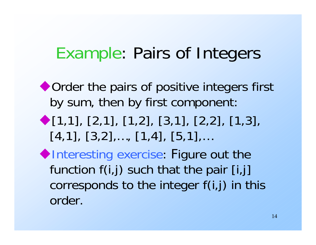## Example: Pairs of Integers

◆ Order the pairs of positive integers first by sum, then by first component:

 $\blacklozenge$  [1,1], [2,1], [1,2], [3,1], [2,2], [1,3],  $[4,1]$ ,  $[3,2]$ ,...,  $[1,4]$ ,  $[5,1]$ ,...

 $\blacklozenge$ Interesting exercise: Figure out the function  $f(i,j)$  such that the pair [i,j] corresponds to the integer f(i,j) in this order.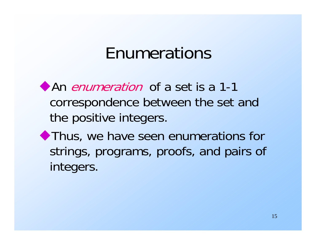## Enumerations

An enumeration of a set is a 1-1 correspondence between the set and the positive integers.

Thus, we have seen enumerations for strings, programs, proofs, and pairs of integers.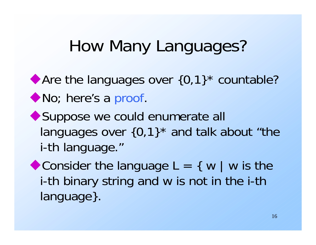## How Many Languages?

◆ Are the languages over  ${0,1}^*$  countable? ◆ No; here's a proof.

◆ Suppose we could enumerate all languages over  $\{0,1\}^*$  and talk about "the i-th language."

Consider the language  $L = \{ w \mid w \}$  is the i-th binary string and w is not in the i-th language}.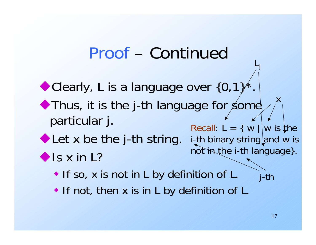## Proof – Continued

Clearly, L is a language over  $\{0,1\}$ Thus, it is the j-th language for some particular j. Let x be the j-th string. i-th binary string and w is  $\bigcirc$  Is x in L? **If so, x is not in L by definition of L.** Recall:  $L = \{ w | | w$  is the not in the i-th language}. xj-th

• If not, then x is in L by definition of L.

Lj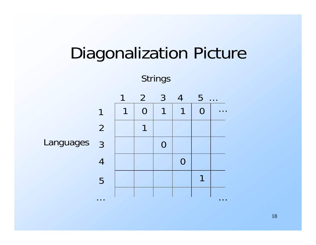

18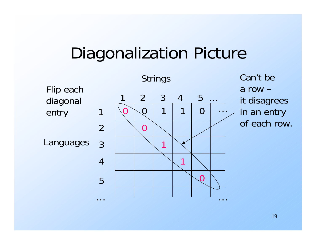## Diagonalization Picture



Can't be a row – it disagrees in an entry of each row.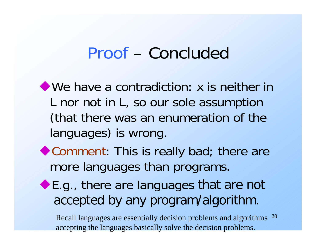#### Proof – Concluded

We have a contradiction: x is neither in L nor not in L, so our sole assumption (that there was an enumeration of the languages) is wrong.

- ◆ Comment: This is really bad; there are more languages than programs.
- ◆E.g., there are languages that are not accepted by any program/algorithm.

20 Recall languages are essentially decision problems and algorithms accepting the languages basically solve the decision problems.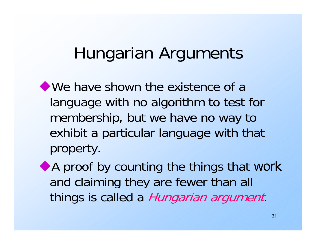## Hungarian Arguments

We have shown the existence of a language with no algorithm to test for membership, but we have no way to exhibit a particular language with that property.

A proof by counting the things that work and claiming they are fewer than all things is called a Hungarian argument.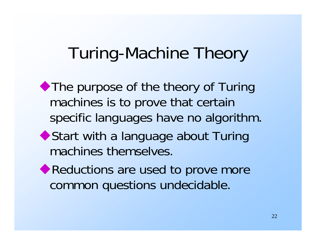## Turing-Machine Theory

• The purpose of the theory of Turing machines is to prove that certain specific languages have no algorithm. ◆ Start with a language about Turing

machines themselves.

◆ Reductions are used to prove more common questions undecidable.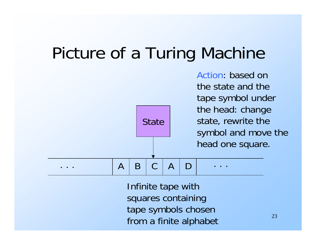## Picture of a Turing Machine

**State** . . .ABCAD . . . the state and thetape symbol under the head: change state, rewrite the symbol and move the head one square.

> Infinite tape with squares containing tape symbols chosen from a finite alphabet

Action: based on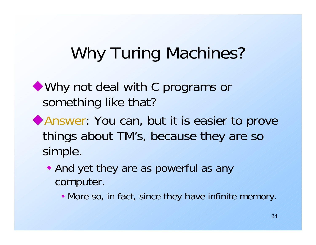## Why Turing Machines?

Why not deal with C programs or something like that?

- Answer: You can, but it is easier to prove things about TM's, because they are so simple.
	- And yet they are as powerful as any computer.
		- More so, in fact, since they have infinite memory.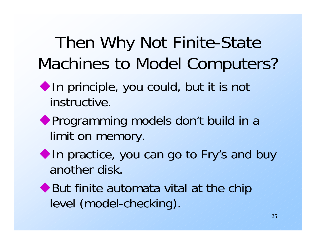## Then Why Not Finite-State Machines to Model Computers?

- In principle, you could, but it is not instructive.
- Programming models don't build in a limit on memory.
- In practice, you can go to Fry's and buy another disk.
- ◆ But finite automata vital at the chip level (model-checking).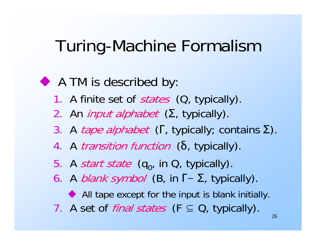## Turing-Machine Formalism

#### A TM is described by:

- 1. A finite set of *states* (Q, typically).
- 2. An *input alphabet* (Σ, typically).
- 3. A *tape alphabet* (Γ, typically; contains Σ).
- 4. A *transition function* (δ, typically).
- 5. A *start state* (q<sub>o</sub>, in Q, typically).
- 6. A *blank symbol* (Β, in Γ  $-$  Σ, typically).
	- All tape except for the input is blank initially.
- 7. A set of *final states* (F ⊆ Q, typically).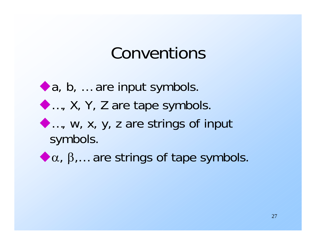#### Conventions

- a, b, … are input symbols. …, X, Y, Z are tape symbols. …, w, x, y, z are strings of input symbols.
- $\bullet \alpha$ ,  $\beta$ ,... are strings of tape symbols.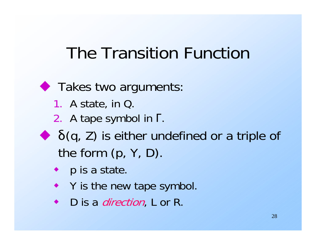## The Transition Function

**Takes two arguments:** 1. A state, in Q. 2. A tape symbol in Γ. δ(q, Z) is either undefined or a triple of the form (p, Y, D).

- p is a state.
- Y is the new tape symbol.
- D is a *direction*, L or R.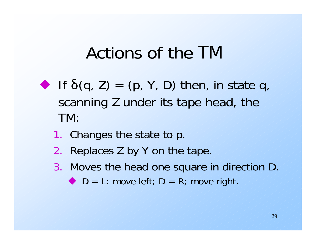## Actions of the TM

- $\blacktriangleright$  If  $\delta(q, Z) = (p, Y, D)$  then, in state q, scanning Z under its tape head, the TM:
	- 1. Changes the state to p.
	- 2.Replaces Z by Y on the tape.
	- 3. Moves the head one square in direction D.
		- $D = L:$  move left;  $D = R$ ; move right.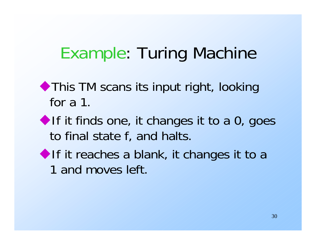## Example: Turing Machine

- ◆ This TM scans its input right, looking for a 1.
- If it finds one, it changes it to a  $0$ , goes to final state f, and halts.
- If it reaches a blank, it changes it to a 1 and moves left.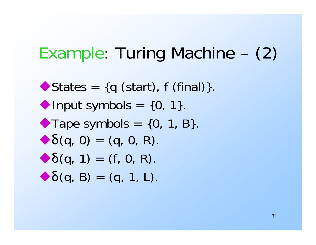## Example: Turing Machine – (2)

 $\blacktriangleright$  States = {q (start), f (final)}. Input symbols  $= \{0, 1\}.$  $\blacktriangleright$  Tape symbols = {0, 1, B}.  $\blacktriangleright \delta(q, 0) = (q, 0, R).$  $\blacktriangleright \delta(q, 1) = (f, 0, R).$  $\blacktriangleright \delta(q, B) = (q, 1, L).$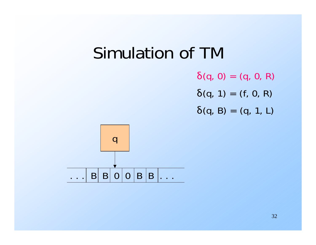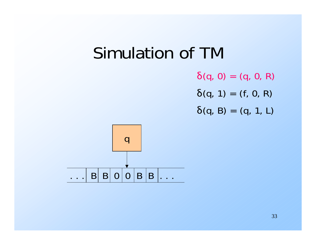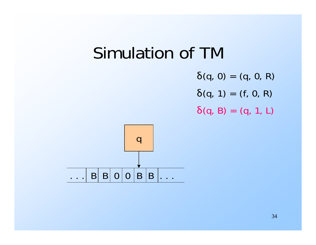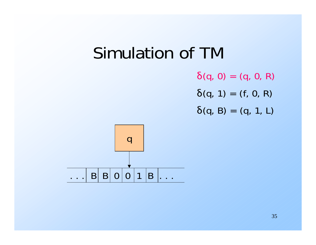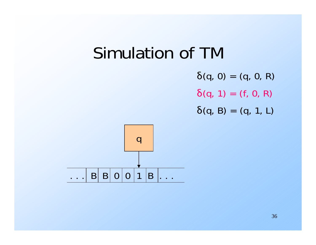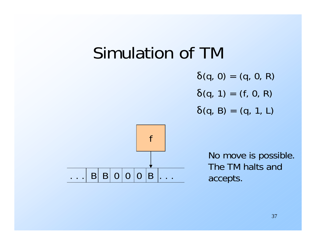#### Simulation of TM

 $\delta(q, 0) = (q, 0, R)$  $\delta(q, 1) = (f, 0, R)$  $\delta(q, B) = (q, 1, L)$ 



No move is possible. The TM halts andaccepts.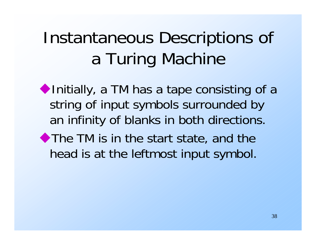# Instantaneous Descriptions of a Turing Machine

 $\blacklozenge$  Initially, a TM has a tape consisting of a string of input symbols surrounded by an infinity of blanks in both directions. The TM is in the start state, and the head is at the leftmost input symbol.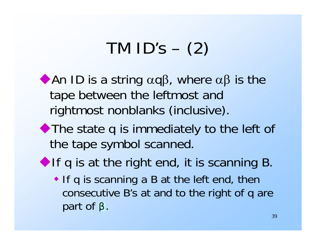## TM  $ID's - (2)$

An ID is a string  $\alpha q\beta$ , where  $\alpha\beta$  is the tape between the leftmost and rightmost nonblanks (inclusive).

- The state q is immediately to the left of the tape symbol scanned.
- If q is at the right end, it is scanning B.
	- If q is scanning a B at the left end, then consecutive B's at and to the right of q are part of β.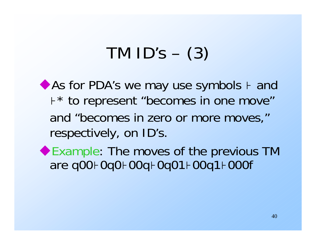# TM  $ID's - (3)$

◆ As for PDA's we may use symbols  $+$  and <sup>⊦</sup>\* to represent "becomes in one move" and "becomes in zero or more moves," respectively, on ID's.

Example: The moves of the previous TM are q00⊦0q0⊦00q⊦0q01⊦00q1⊦000f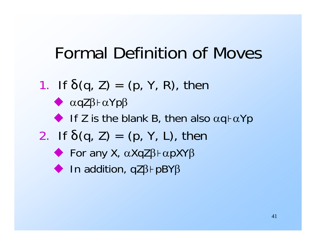## Formal Definition of Moves

1. If  $\delta(q, Z) = (p, Y, R)$ , then  $\blacklozenge$   $\alpha$ qZ $\beta$  +  $\alpha$ Yp $\beta$ If Z is the blank B, then also  $\alpha q \vdash \alpha Yp$ 2. If  $\delta(q, Z) = (p, Y, L)$ , then  $\blacklozenge$  For any X,  $\alpha$ XqZ $\beta$  +  $\alpha$ pXY $\beta$  $\blacklozenge$  In addition, qZ $\beta$  + pBY $\beta$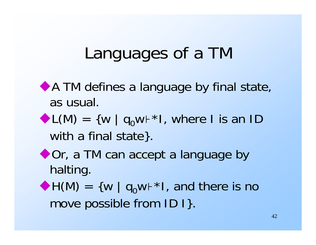## Languages of a TM

- A TM defines a language by final state, as usual.
- $\blacktriangleright$  L(M) = {w | q<sub>0</sub>w $\vdash^*$ I, where I is an ID with a final state }.
- ◆ Or, a TM can accept a language by halting.
- $\blacklozenge H(M) = \{ w \mid q_0w + *1, \text{ and there is no } \}$ move possible from ID I}.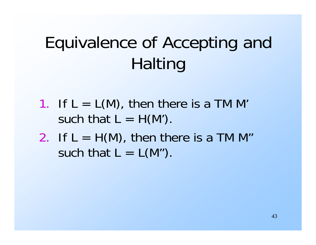# Equivalence of Accepting and Halting

- 1. If  $L = L(M)$ , then there is a TM M' such that  $L = H(M')$ .
- 2. If  $L = H(M)$ , then there is a TM M" such that  $L = L(M<sup>n</sup>)$ .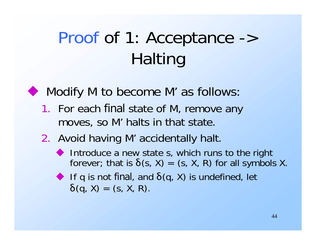# Proof of 1: Acceptance -> Halting



#### Modify M to become M' as follows:

1. For each final state of M, remove any moves, so M' halts in that state.

#### 2. Avoid having M' accidentally halt.

- Introduce a new state s, which runs to the right forever; that is  $\delta(s, X) = (s, X, R)$  for all symbols X.
- If q is not final, and  $\delta(q, X)$  is undefined, let  $\delta(q, X) = (s, X, R).$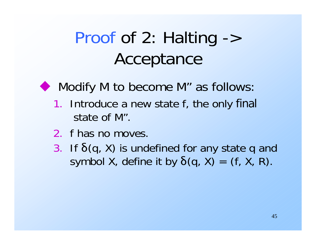## Proof of 2: Halting -> Acceptance

 $\blacklozenge$  Modify M to become M" as follows:

- 1. Introduce a new state f, the only final state of M".
- 2. f has no moves.
- 3. If δ(q, X) is undefined for any state q and symbol X, define it by  $\delta(q, X) = (f, X, R)$ .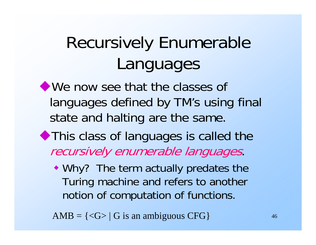# Recursively Enumerable Languages

We now see that the classes of languages defined by TM's using final state and halting are the same.

- This class of languages is called the recursively enumerable languages.
	- Why? The term actually predates the Turing machine and refers to another notion of computation of functions.

AMB =  $\{<\!\!\!\sigma\!\!>|\,G\!\!>$  is an ambiguous CFG $\}$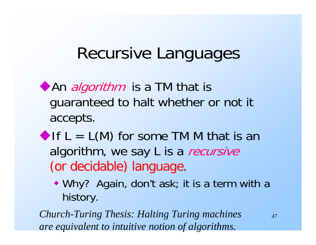## Recursive Languages

- An *algorithm* is a TM that is guaranteed to halt whether or not it accepts.
- If  $L = L(M)$  for some TM M that is an algorithm, we say L is a recursive (or decidable) language.
	- Why? Again, don't ask; it is a term with a history.

*Church-Turing Thesis: Halting Turing machines are equivalent to intuitive notion of algorithms.*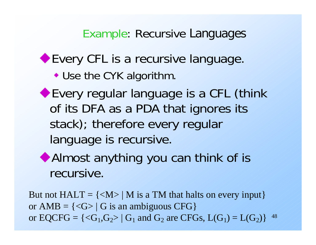Example: Recursive Languages

#### ◆ Every CFL is a recursive language.

- Use the CYK algorithm.
- Every regular language is a CFL (think of its DFA as a PDA that ignores its stack); therefore every regular language is recursive.



48 But not  $HALT = \{  \mid M \text{ is a TM that halts on every input} \}$ or  $AMB = \{ \langle G \rangle | G$  is an ambiguous CFG $\}$ or  $EQCFG = \{ \langle G_1, G_2 \rangle | G_1 \text{ and } G_2 \text{ are } CFGs, L(G_1) = L(G_2) \}$